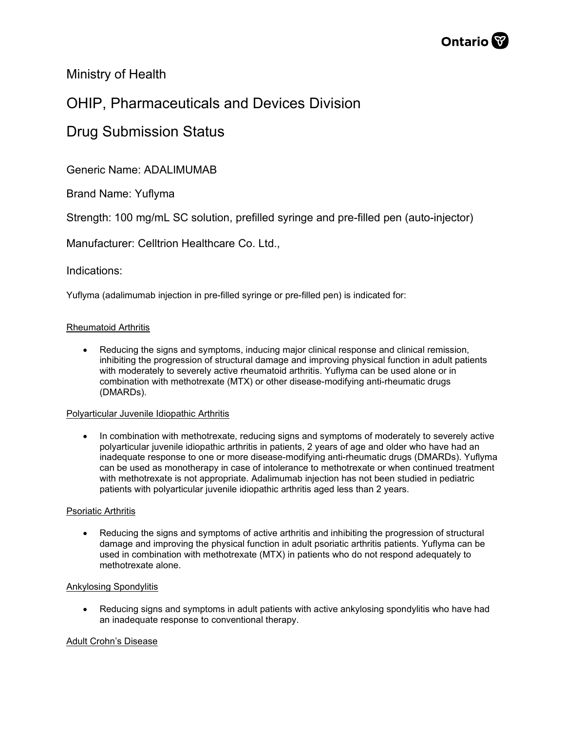

### Ministry of Health

## OHIP, Pharmaceuticals and Devices Division

## Drug Submission Status

Generic Name: ADALIMUMAB

Brand Name: Yuflyma

Strength: 100 mg/mL SC solution, prefilled syringe and pre-filled pen (auto-injector)

Manufacturer: Celltrion Healthcare Co. Ltd.,

#### Indications:

Yuflyma (adalimumab injection in pre-filled syringe or pre-filled pen) is indicated for:

#### Rheumatoid Arthritis

• Reducing the signs and symptoms, inducing major clinical response and clinical remission, inhibiting the progression of structural damage and improving physical function in adult patients with moderately to severely active rheumatoid arthritis. Yuflyma can be used alone or in combination with methotrexate (MTX) or other disease-modifying anti-rheumatic drugs (DMARDs).

#### Polyarticular Juvenile Idiopathic Arthritis

• In combination with methotrexate, reducing signs and symptoms of moderately to severely active polyarticular juvenile idiopathic arthritis in patients, 2 years of age and older who have had an inadequate response to one or more disease-modifying anti-rheumatic drugs (DMARDs). Yuflyma can be used as monotherapy in case of intolerance to methotrexate or when continued treatment with methotrexate is not appropriate. Adalimumab injection has not been studied in pediatric patients with polyarticular juvenile idiopathic arthritis aged less than 2 years.

#### Psoriatic Arthritis

• Reducing the signs and symptoms of active arthritis and inhibiting the progression of structural damage and improving the physical function in adult psoriatic arthritis patients. Yuflyma can be used in combination with methotrexate (MTX) in patients who do not respond adequately to methotrexate alone.

#### Ankylosing Spondylitis

• Reducing signs and symptoms in adult patients with active ankylosing spondylitis who have had an inadequate response to conventional therapy.

#### Adult Crohn's Disease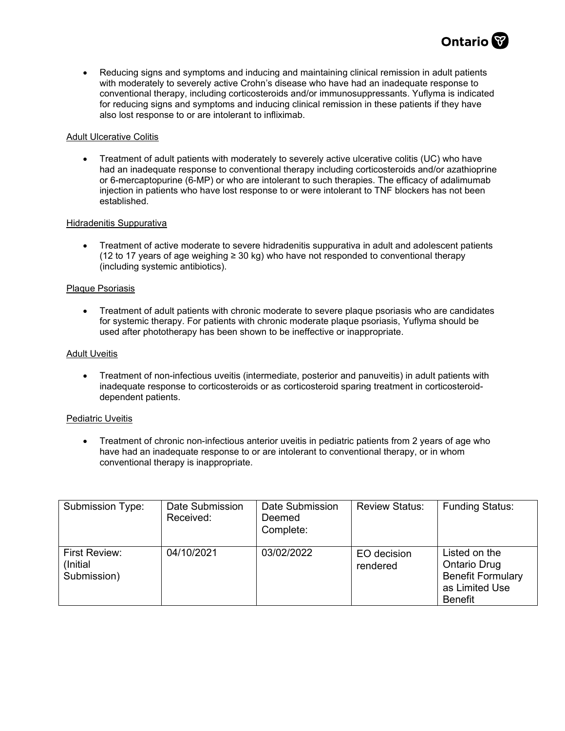

• Reducing signs and symptoms and inducing and maintaining clinical remission in adult patients with moderately to severely active Crohn's disease who have had an inadequate response to conventional therapy, including corticosteroids and/or immunosuppressants. Yuflyma is indicated for reducing signs and symptoms and inducing clinical remission in these patients if they have also lost response to or are intolerant to infliximab.

#### Adult Ulcerative Colitis

• Treatment of adult patients with moderately to severely active ulcerative colitis (UC) who have had an inadequate response to conventional therapy including corticosteroids and/or azathioprine or 6-mercaptopurine (6-MP) or who are intolerant to such therapies. The efficacy of adalimumab injection in patients who have lost response to or were intolerant to TNF blockers has not been established.

#### Hidradenitis Suppurativa

• Treatment of active moderate to severe hidradenitis suppurativa in adult and adolescent patients (12 to 17 years of age weighing  $\geq$  30 kg) who have not responded to conventional therapy (including systemic antibiotics).

#### Plaque Psoriasis

• Treatment of adult patients with chronic moderate to severe plaque psoriasis who are candidates for systemic therapy. For patients with chronic moderate plaque psoriasis, Yuflyma should be used after phototherapy has been shown to be ineffective or inappropriate.

#### Adult Uveitis

• Treatment of non-infectious uveitis (intermediate, posterior and panuveitis) in adult patients with inadequate response to corticosteroids or as corticosteroid sparing treatment in corticosteroiddependent patients.

#### Pediatric Uveitis

• Treatment of chronic non-infectious anterior uveitis in pediatric patients from 2 years of age who have had an inadequate response to or are intolerant to conventional therapy, or in whom conventional therapy is inappropriate.

| Submission Type:                          | Date Submission<br>Received: | Date Submission<br>Deemed<br>Complete: | <b>Review Status:</b>   | <b>Funding Status:</b>                                                                        |
|-------------------------------------------|------------------------------|----------------------------------------|-------------------------|-----------------------------------------------------------------------------------------------|
| First Review:<br>(Initial)<br>Submission) | 04/10/2021                   | 03/02/2022                             | EO decision<br>rendered | Listed on the<br>Ontario Drug<br><b>Benefit Formulary</b><br>as Limited Use<br><b>Benefit</b> |